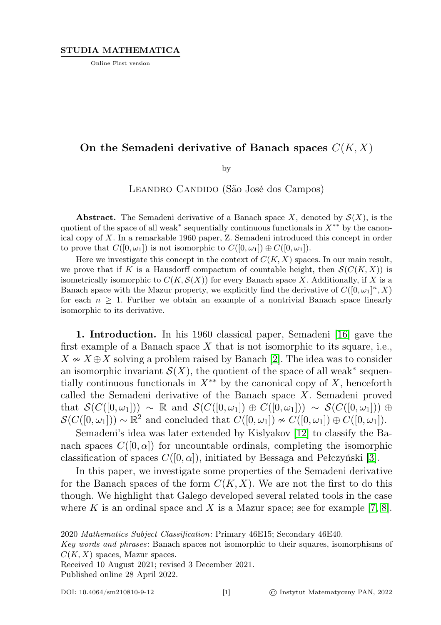# STUDIA MATHEMATICA

Online First version

# On the Semadeni derivative of Banach spaces  $C(K, X)$

by

LEANDRO CANDIDO (São José dos Campos)

**Abstract.** The Semadeni derivative of a Banach space X, denoted by  $S(X)$ , is the quotient of the space of all weak<sup>∗</sup> sequentially continuous functionals in  $X^{**}$  by the canonical copy of X. In a remarkable 1960 paper, Z. Semadeni introduced this concept in order to prove that  $C([0,\omega_1])$  is not isomorphic to  $C([0,\omega_1]) \oplus C([0,\omega_1])$ .

Here we investigate this concept in the context of  $C(K, X)$  spaces. In our main result, we prove that if K is a Hausdorff compactum of countable height, then  $\mathcal{S}(C(K, X))$  is isometrically isomorphic to  $C(K, \mathcal{S}(X))$  for every Banach space X. Additionally, if X is a Banach space with the Mazur property, we explicitly find the derivative of  $C([0,\omega_1]^n,X)$ for each  $n \geq 1$ . Further we obtain an example of a nontrivial Banach space linearly isomorphic to its derivative.

1. Introduction. In his 1960 classical paper, Semadeni [\[16\]](#page-14-0) gave the first example of a Banach space  $X$  that is not isomorphic to its square, i.e.,  $X \sim X \oplus X$  solving a problem raised by Banach [\[2\]](#page-14-1). The idea was to consider an isomorphic invariant  $\mathcal{S}(X)$ , the quotient of the space of all weak<sup>\*</sup> sequentially continuous functionals in  $X^{**}$  by the canonical copy of X, henceforth called the Semadeni derivative of the Banach space X. Semadeni proved that  $\mathcal{S}(C([0,\omega_1])) \sim \mathbb{R}$  and  $\mathcal{S}(C([0,\omega_1]) \oplus C([0,\omega_1])) \sim \mathcal{S}(C([0,\omega_1])) \oplus$  $\mathcal{S}(C([0,\omega_1])) \sim \mathbb{R}^2$  and concluded that  $C([0,\omega_1]) \nsim C([0,\omega_1]) \oplus C([0,\omega_1])$ .

Semadeni's idea was later extended by Kislyakov [\[12\]](#page-14-2) to classify the Banach spaces  $C([0,\alpha])$  for uncountable ordinals, completing the isomorphic classification of spaces  $C([0, \alpha])$ , initiated by Bessaga and Pełczyński [\[3\]](#page-14-3).

In this paper, we investigate some properties of the Semadeni derivative for the Banach spaces of the form  $C(K, X)$ . We are not the first to do this though. We highlight that Galego developed several related tools in the case where K is an ordinal space and X is a Mazur space; see for example [\[7,](#page-14-4) [8\]](#page-14-5).

Received 10 August 2021; revised 3 December 2021.

Published online 28 April 2022.

<sup>2020</sup> Mathematics Subject Classification: Primary 46E15; Secondary 46E40.

Key words and phrases: Banach spaces not isomorphic to their squares, isomorphisms of  $C(K, X)$  spaces, Mazur spaces.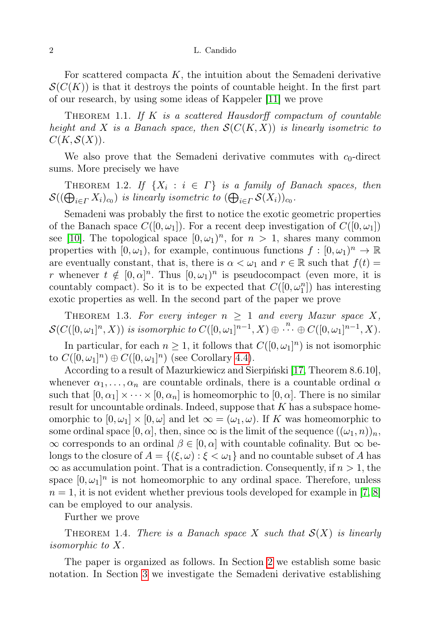For scattered compacta  $K$ , the intuition about the Semadeni derivative  $\mathcal{S}(C(K))$  is that it destroys the points of countable height. In the first part of our research, by using some ideas of Kappeler [\[11\]](#page-14-6) we prove

<span id="page-1-0"></span>THEOREM 1.1. If  $K$  is a scattered Hausdorff compactum of countable height and X is a Banach space, then  $S(C(K, X))$  is linearly isometric to  $C(K, \mathcal{S}(X)).$ 

We also prove that the Semadeni derivative commutes with  $c_0$ -direct sums. More precisely we have

<span id="page-1-1"></span>THEOREM 1.2. If  $\{X_i : i \in \Gamma\}$  is a family of Banach spaces, then  $\mathcal{S}((\bigoplus_{i\in\varGamma}X_i)_{c_0})$  is linearly isometric to  $(\bigoplus_{i\in\varGamma}\mathcal{S}(X_i))_{c_0}.$ 

Semadeni was probably the first to notice the exotic geometric properties of the Banach space  $C([0,\omega_1])$ . For a recent deep investigation of  $C([0,\omega_1])$ see [\[10\]](#page-14-7). The topological space  $[0, \omega_1)^n$ , for  $n > 1$ , shares many common properties with  $[0, \omega_1)$ , for example, continuous functions  $f : [0, \omega_1)^n \to \mathbb{R}$ are eventually constant, that is, there is  $\alpha < \omega_1$  and  $r \in \mathbb{R}$  such that  $f(t) =$ r whenever  $t \notin [0, \alpha]^n$ . Thus  $[0, \omega_1)^n$  is pseudocompact (even more, it is countably compact). So it is to be expected that  $C([0,\omega_1^n])$  has interesting exotic properties as well. In the second part of the paper we prove

<span id="page-1-2"></span>THEOREM 1.3. For every integer  $n \geq 1$  and every Mazur space X,  $\mathcal{S}(C([0,\omega_1]^n,X))$  is isomorphic to  $C([0,\omega_1]^{n-1},X)\oplus\stackrel{n}{\cdots}\oplus C([0,\omega_1]^{n-1},X)$ .

In particular, for each  $n \geq 1$ , it follows that  $C([0,\omega_1]^n)$  is not isomorphic to  $C([0,\omega_1]^n) \oplus C([0,\omega_1]^n)$  (see Corollary [4.4\)](#page-13-0).

According to a result of Mazurkiewicz and Sierpiński [\[17,](#page-15-0) Theorem 8.6.10], whenever  $\alpha_1, \ldots, \alpha_n$  are countable ordinals, there is a countable ordinal  $\alpha$ such that  $[0, \alpha_1] \times \cdots \times [0, \alpha_n]$  is homeomorphic to  $[0, \alpha]$ . There is no similar result for uncountable ordinals. Indeed, suppose that  $K$  has a subspace homeomorphic to  $[0, \omega_1] \times [0, \omega]$  and let  $\infty = (\omega_1, \omega)$ . If K was homeomorphic to some ordinal space  $[0, \alpha]$ , then, since  $\infty$  is the limit of the sequence  $((\omega_1, n))_n$ ,  $\infty$  corresponds to an ordinal  $\beta \in [0, \alpha]$  with countable cofinality. But  $\infty$  belongs to the closure of  $A = \{(\xi, \omega) : \xi < \omega_1\}$  and no countable subset of A has  $\infty$  as accumulation point. That is a contradiction. Consequently, if  $n > 1$ , the space  $[0, \omega_1]^n$  is not homeomorphic to any ordinal space. Therefore, unless  $n = 1$ , it is not evident whether previous tools developed for example in [\[7,](#page-14-4) [8\]](#page-14-5) can be employed to our analysis.

Further we prove

<span id="page-1-3"></span>THEOREM 1.4. There is a Banach space X such that  $\mathcal{S}(X)$  is linearly isomorphic to X.

The paper is organized as follows. In Section [2](#page-2-0) we establish some basic notation. In Section [3](#page-3-0) we investigate the Semadeni derivative establishing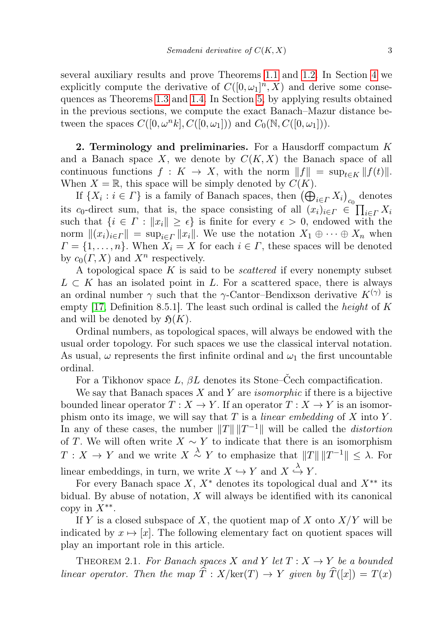several auxiliary results and prove Theorems [1.1](#page-1-0) and [1.2.](#page-1-1) In Section [4](#page-10-0) we explicitly compute the derivative of  $C([0,\omega_1]^n,X)$  and derive some consequences as Theorems [1.3](#page-1-2) and [1.4.](#page-1-3) In Section [5,](#page-13-1) by applying results obtained in the previous sections, we compute the exact Banach–Mazur distance between the spaces  $C([0,\omega<sup>n</sup> k], C([0,\omega_1]))$  and  $C_0(\mathbb{N}, C([0,\omega_1]))$ .

<span id="page-2-0"></span>2. Terminology and preliminaries. For a Hausdorff compactum  $K$ and a Banach space X, we denote by  $C(K, X)$  the Banach space of all continuous functions  $f: K \to X$ , with the norm  $||f|| = \sup_{t \in K} ||f(t)||$ . When  $X = \mathbb{R}$ , this space will be simply denoted by  $C(K)$ .

If  $\{X_i : i \in \Gamma\}$  is a family of Banach spaces, then  $\left(\bigoplus_{i \in \Gamma} X_i\right)_{c_0}$  denotes its c<sub>0</sub>-direct sum, that is, the space consisting of all  $(x_i)_{i \in \Gamma} \in \prod_{i \in \Gamma} X_i$ such that  $\{i \in \Gamma : ||x_i|| \geq \epsilon\}$  is finite for every  $\epsilon > 0$ , endowed with the norm  $\|(x_i)_{i\in\Gamma}\| = \sup_{i\in\Gamma} \|x_i\|$ . We use the notation  $X_1 \oplus \cdots \oplus X_n$  when  $\Gamma = \{1, \ldots, n\}$ . When  $\overline{X}_i = X$  for each  $i \in \Gamma$ , these spaces will be denoted by  $c_0(\Gamma, X)$  and  $X^n$  respectively.

A topological space  $K$  is said to be *scattered* if every nonempty subset  $L \subset K$  has an isolated point in L. For a scattered space, there is always an ordinal number  $\gamma$  such that the  $\gamma$ -Cantor–Bendixson derivative  $K^{(\gamma)}$  is empty [\[17,](#page-15-0) Definition 8.5.1]. The least such ordinal is called the *height* of K and will be denoted by  $\mathfrak{H}(K)$ .

Ordinal numbers, as topological spaces, will always be endowed with the usual order topology. For such spaces we use the classical interval notation. As usual,  $\omega$  represents the first infinite ordinal and  $\omega_1$  the first uncountable ordinal.

For a Tikhonov space L,  $\beta L$  denotes its Stone–Čech compactification.

We say that Banach spaces  $X$  and  $Y$  are *isomorphic* if there is a bijective bounded linear operator  $T : X \to Y$ . If an operator  $T : X \to Y$  is an isomorphism onto its image, we will say that  $T$  is a *linear embedding* of  $X$  into  $Y$ . In any of these cases, the number  $||T|| ||T^{-1}||$  will be called the *distortion* of T. We will often write  $X \sim Y$  to indicate that there is an isomorphism  $T: X \to Y$  and we write  $X \stackrel{\lambda}{\sim} Y$  to emphasize that  $||T|| ||T^{-1}|| \leq \lambda$ . For linear embeddings, in turn, we write  $X \hookrightarrow Y$  and  $X \overset{\lambda}{\hookrightarrow} Y$ .

For every Banach space X,  $X^*$  denotes its topological dual and  $X^{**}$  its bidual. By abuse of notation,  $X$  will always be identified with its canonical copy in  $X^{**}$ .

If Y is a closed subspace of X, the quotient map of X onto  $X/Y$  will be indicated by  $x \mapsto [x]$ . The following elementary fact on quotient spaces will play an important role in this article.

<span id="page-2-1"></span>THEOREM 2.1. For Banach spaces X and Y let  $T: X \to Y$  be a bounded linear operator. Then the map  $\hat{T}: X/\text{ker}(T) \to Y$  given by  $\hat{T}([x]) = T(x)$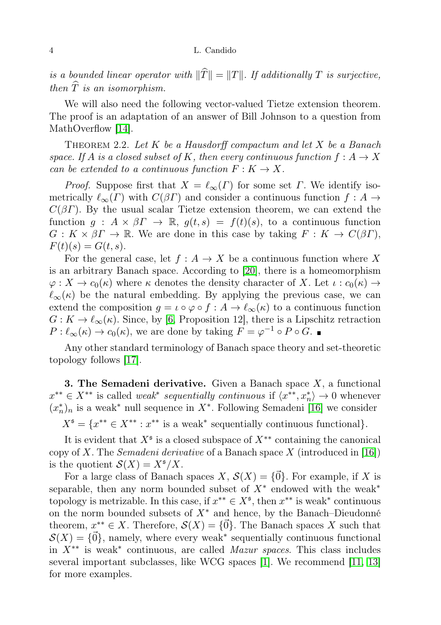is a bounded linear operator with  $\|\widehat{T}\| = \|T\|$ . If additionally T is surjective, then  $\widehat{T}$  is an isomorphism.

We will also need the following vector-valued Tietze extension theorem. The proof is an adaptation of an answer of Bill Johnson to a question from MathOverflow [\[14\]](#page-14-8).

<span id="page-3-1"></span>THEOREM 2.2. Let  $K$  be a Hausdorff compactum and let  $X$  be a Banach space. If A is a closed subset of K, then every continuous function  $f: A \rightarrow X$ can be extended to a continuous function  $F: K \to X$ .

*Proof.* Suppose first that  $X = \ell_{\infty}(\Gamma)$  for some set  $\Gamma$ . We identify isometrically  $\ell_{\infty}(\Gamma)$  with  $C(\beta \Gamma)$  and consider a continuous function  $f : A \rightarrow$  $C(\beta\Gamma)$ . By the usual scalar Tietze extension theorem, we can extend the function  $g: A \times \beta I \rightarrow \mathbb{R}$ ,  $g(t,s) = f(t)(s)$ , to a continuous function  $G: K \times \beta \Gamma \to \mathbb{R}$ . We are done in this case by taking  $F: K \to C(\beta \Gamma)$ ,  $F(t)(s) = G(t, s).$ 

For the general case, let  $f : A \to X$  be a continuous function where X is an arbitrary Banach space. According to [\[20\]](#page-15-1), there is a homeomorphism  $\varphi: X \to c_0(\kappa)$  where  $\kappa$  denotes the density character of X. Let  $\iota: c_0(\kappa) \to$  $\ell_{\infty}(\kappa)$  be the natural embedding. By applying the previous case, we can extend the composition  $g = \iota \circ \varphi \circ f : A \to \ell_{\infty}(\kappa)$  to a continuous function  $G: K \to \ell_{\infty}(\kappa)$ . Since, by [\[6,](#page-14-9) Proposition 12], there is a Lipschitz retraction  $P: \ell_{\infty}(\kappa) \to c_0(\kappa)$ , we are done by taking  $F = \varphi^{-1} \circ P \circ G$ .

Any other standard terminology of Banach space theory and set-theoretic topology follows [\[17\]](#page-15-0).

<span id="page-3-0"></span>**3. The Semadeni derivative.** Given a Banach space  $X$ , a functional  $x^{**} \in X^{**}$  is called *weak<sup>\*</sup> sequentially continuous* if  $\langle x^{**}, x_n^* \rangle \to 0$  whenever  $(x_n^*)_n$  is a weak<sup>∗</sup> null sequence in  $X^*$ . Following Semadeni [\[16\]](#page-14-0) we consider

 $X^{\mathfrak{s}} = \{x^{**} \in X^{**} : x^{**} \text{ is a weak}^* \text{ sequentially continuous functional}\}.$ 

It is evident that  $X^{\mathfrak{s}}$  is a closed subspace of  $X^{**}$  containing the canonical copy of X. The *Semadeni derivative* of a Banach space X (introduced in [\[16\]](#page-14-0)) is the quotient  $S(X) = X^{\mathfrak{s}}/X$ .

For a large class of Banach spaces  $X, S(X) = {\vec{0}}$ . For example, if X is separable, then any norm bounded subset of  $X^*$  endowed with the weak<sup>\*</sup> topology is metrizable. In this case, if  $x^{**} \in X^{\mathfrak{s}}$ , then  $x^{**}$  is weak\* continuous on the norm bounded subsets of  $X^*$  and hence, by the Banach–Dieudonné theorem,  $x^{**} \in X$ . Therefore,  $\mathcal{S}(X) = {\vec{0}}$ . The Banach spaces X such that  $\mathcal{S}(X) = \{ \vec{0} \}$ , namely, where every weak<sup>\*</sup> sequentially continuous functional in  $X^{**}$  is weak<sup>\*</sup> continuous, are called *Mazur spaces*. This class includes several important subclasses, like WCG spaces [\[1\]](#page-14-10). We recommend [\[11,](#page-14-6) [13\]](#page-14-11) for more examples.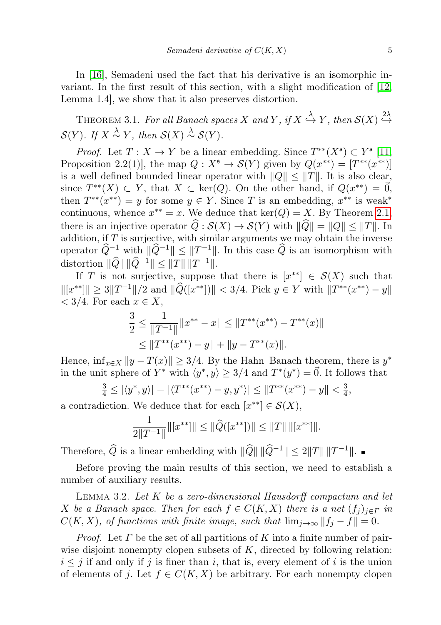In [\[16\]](#page-14-0), Semadeni used the fact that his derivative is an isomorphic invariant. In the first result of this section, with a slight modification of [\[12,](#page-14-2) Lemma 1.4], we show that it also preserves distortion.

<span id="page-4-1"></span>THEOREM 3.1. For all Banach spaces X and Y, if  $X \stackrel{\lambda}{\hookrightarrow} Y$ , then  $\mathcal{S}(X) \stackrel{2\lambda}{\hookrightarrow}$  $\mathcal{S}(Y)$ . If  $X \stackrel{\lambda}{\sim} Y$ , then  $\mathcal{S}(X) \stackrel{\lambda}{\sim} \mathcal{S}(Y)$ .

*Proof.* Let  $T: X \to Y$  be a linear embedding. Since  $T^{**}(X^{\mathfrak{s}}) \subset Y^{\mathfrak{s}}$  [\[11,](#page-14-6) Proposition 2.2(1)], the map  $Q: X^{\mathfrak{s}} \to \mathcal{S}(Y)$  given by  $Q(x^{**}) = [T^{**}(x^{**})]$ is a well defined bounded linear operator with  $||Q|| \leq ||T||$ . It is also clear, since  $T^{**}(X) \subset Y$ , that  $X \subset \text{ker}(Q)$ . On the other hand, if  $Q(x^{**}) = \vec{0}$ , then  $T^{**}(x^{**}) = y$  for some  $y \in Y$ . Since T is an embedding,  $x^{**}$  is weak<sup>\*</sup> continuous, whence  $x^{**} = x$ . We deduce that  $\ker(Q) = X$ . By Theorem [2.1,](#page-2-1) there is an injective operator  $\widehat{Q}: \mathcal{S}(X) \to \mathcal{S}(Y)$  with  $\|\widehat{Q}\| = \|Q\| \leq \|T\|$ . In addition, if  $T$  is surjective, with similar arguments we may obtain the inverse operator  $\widehat{Q}^{-1}$  with  $\|\widehat{Q}^{-1}\| \le \|T^{-1}\|$ . In this case  $\widehat{Q}$  is an isomorphism with distortion  $\|\widehat{Q}\| \|\widehat{Q}^{-1}\| \leq \|T\| \, \|T^{-1}\|.$ 

If T is not surjective, suppose that there is  $[x^{**}] \in S(X)$  such that  $\|[x^{**}]\| \ge 3\|T^{-1}\|/2$  and  $\|\widehat{Q}([x^{**}])\| < 3/4$ . Pick  $y \in Y$  with  $\|T^{**}(x^{**}) - y\|$  $\langle 3/4.$  For each  $x \in X$ ,

$$
\frac{3}{2} \le \frac{1}{\|T^{-1}\|} \|x^{**} - x\| \le \|T^{**}(x^{**}) - T^{**}(x)\|
$$
  

$$
\le \|T^{**}(x^{**}) - y\| + \|y - T^{**}(x)\|.
$$

Hence,  $\inf_{x \in X} ||y - T(x)|| \geq 3/4$ . By the Hahn–Banach theorem, there is  $y^*$ in the unit sphere of  $Y^*$  with  $\langle y^*, y \rangle \geq 3/4$  and  $T^*(y^*) = \vec{0}$ . It follows that

$$
\frac{3}{4} \le |\langle y^*, y \rangle| = |\langle T^{**}(x^{**}) - y, y^* \rangle| \le ||T^{**}(x^{**}) - y|| < \frac{3}{4},
$$

a contradiction. We deduce that for each  $[x^{**}] \in \mathcal{S}(X)$ ,

$$
\frac{1}{2||T^{-1}||}||[x^{**}]|| \le ||\widehat{Q}([x^{**}])|| \le ||T|| \, ||[x^{**}]||.
$$

Therefore,  $\widehat{Q}$  is a linear embedding with  $\|\widehat{Q}\| \|\widehat{Q}^{-1}\| \leq 2||T|| \, ||T^{-1}||.$ 

Before proving the main results of this section, we need to establish a number of auxiliary results.

<span id="page-4-0"></span>LEMMA 3.2. Let  $K$  be a zero-dimensional Hausdorff compactum and let X be a Banach space. Then for each  $f \in C(K, X)$  there is a net  $(f_i)_{i \in \Gamma}$  in  $C(K, X)$ , of functions with finite image, such that  $\lim_{j\to\infty} ||f_j - f|| = 0$ .

*Proof.* Let  $\Gamma$  be the set of all partitions of  $K$  into a finite number of pairwise disjoint nonempty clopen subsets of  $K$ , directed by following relation:  $i \leq j$  if and only if j is finer than i, that is, every element of i is the union of elements of j. Let  $f \in C(K, X)$  be arbitrary. For each nonempty clopen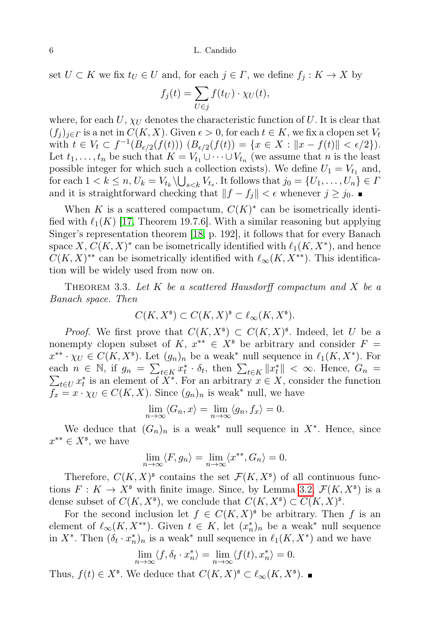set  $U \subset K$  we fix  $t_U \in U$  and, for each  $j \in \Gamma$ , we define  $f_i: K \to X$  by

$$
f_j(t) = \sum_{U \in j} f(t_U) \cdot \chi_U(t),
$$

where, for each  $U$ ,  $\chi_U$  denotes the characteristic function of U. It is clear that  $(f_i)_{i\in\Gamma}$  is a net in  $C(K, X)$ . Given  $\epsilon > 0$ , for each  $t \in K$ , we fix a clopen set  $V_t$ with  $t \in V_t \subset f^{-1}(B_{\epsilon/2}(f(t)))$   $(B_{\epsilon/2}(f(t)) = \{x \in X : ||x - f(t)|| < \epsilon/2\}).$ Let  $t_1, \ldots, t_n$  be such that  $K = V_{t_1} \cup \cdots \cup V_{t_n}$  (we assume that n is the least possible integer for which such a collection exists). We define  $U_1 = V_{t_1}$  and, for each  $1 < k \leq n$ ,  $U_k = V_{t_k} \backslash \bigcup_{s < k} V_{t_s}$ . It follows that  $j_0 = \{U_1, \ldots, U_n\} \in I$ and it is straightforward checking that  $||f - f_j|| < \epsilon$  whenever  $j \ge j_0$ .

When K is a scattered compactum,  $C(K)^*$  can be isometrically identified with  $\ell_1(K)$  [\[17,](#page-15-0) Theorem 19.7.6]. With a similar reasoning but applying Singer's representation theorem [\[18,](#page-15-2) p. 192], it follows that for every Banach space  $X, C(K, X)^*$  can be isometrically identified with  $\ell_1(K, X^*)$ , and hence  $C(K, X)^{**}$  can be isometrically identified with  $\ell_{\infty}(K, X^{**})$ . This identification will be widely used from now on.

<span id="page-5-0"></span>THEOREM 3.3. Let  $K$  be a scattered Hausdorff compactum and  $X$  be a Banach space. Then

$$
C(K, X^{\mathfrak{s}}) \subset C(K, X)^{\mathfrak{s}} \subset \ell_{\infty}(K, X^{\mathfrak{s}}).
$$

*Proof.* We first prove that  $C(K, X^{\mathfrak{s}}) \subset C(K, X)^{\mathfrak{s}}$ . Indeed, let U be a nonempty clopen subset of K,  $x^{**} \in X^s$  be arbitrary and consider  $F =$  $x^{**} \cdot \chi_U \in C(K, X^{\mathfrak{s}})$ . Let  $(g_n)_n$  be a weak<sup>\*</sup> null sequence in  $\ell_1(K, X^*)$ . For each  $n \in \mathbb{N}$ , if  $g_n = \sum_{t \in K} x_t^* \cdot \delta_t$ , then  $\sum_{t \in K} ||x_t^*|| < \infty$ . Hence,  $G_n$  $\sum_{t \in U} x_t^*$  is an element of  $\overline{X^*}$ . For an arbitrary  $x \in X$ , consider the function  $f_x = x \cdot \chi_U \in C(K, X)$ . Since  $(g_n)_n$  is weak\* null, we have

$$
\lim_{n \to \infty} \langle G_n, x \rangle = \lim_{n \to \infty} \langle g_n, f_x \rangle = 0.
$$

We deduce that  $(G_n)_n$  is a weak<sup>\*</sup> null sequence in  $X^*$ . Hence, since  $x^{**} \in X^{\mathfrak{s}},$  we have

$$
\lim_{n \to \infty} \langle F, g_n \rangle = \lim_{n \to \infty} \langle x^{**}, G_n \rangle = 0.
$$

Therefore,  $C(K, X)^{\mathfrak{s}}$  contains the set  $\mathcal{F}(K, X^{\mathfrak{s}})$  of all continuous functions  $F: K \to X^{\mathfrak{s}}$  with finite image. Since, by Lemma [3.2,](#page-4-0)  $\mathcal{F}(K, X^{\mathfrak{s}})$  is a dense subset of  $C(K, X^{\mathfrak{s}})$ , we conclude that  $C(K, X^{\mathfrak{s}}) \subset C(K, X)^{\mathfrak{s}}$ .

For the second inclusion let  $f \in C(K, X)^{5}$  be arbitrary. Then f is an element of  $\ell_{\infty}(K, X^{**})$ . Given  $t \in K$ , let  $(x_n^*)_n$  be a weak\* null sequence in  $X^*$ . Then  $(\delta_t \cdot x_n^*)_n$  is a weak<sup>\*</sup> null sequence in  $\ell_1(K, X^*)$  and we have

$$
\lim_{n \to \infty} \langle f, \delta_t \cdot x_n^* \rangle = \lim_{n \to \infty} \langle f(t), x_n^* \rangle = 0.
$$

Thus,  $f(t) \in X^{\mathfrak{s}}$ . We deduce that  $C(K, X)^{\mathfrak{s}} \subset \ell_{\infty}(K, X^{\mathfrak{s}})$ .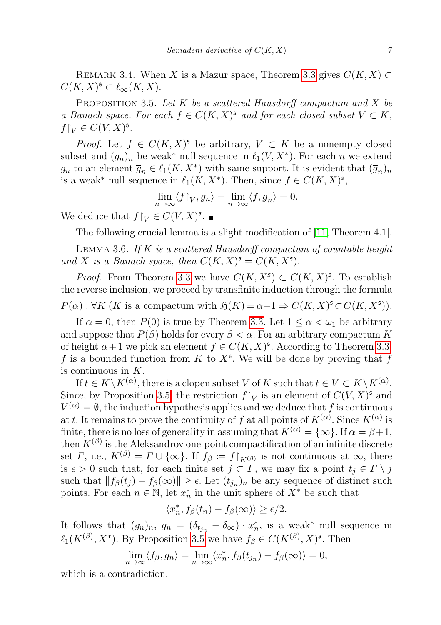<span id="page-6-2"></span>REMARK 3.4. When X is a Mazur space, Theorem [3.3](#page-5-0) gives  $C(K, X) \subset$  $C(K, X)^{\mathfrak{s}} \subset \ell_{\infty}(K, X).$ 

<span id="page-6-0"></span>PROPOSITION 3.5. Let  $K$  be a scattered Hausdorff compactum and  $X$  be a Banach space. For each  $f \in C(K,X)^s$  and for each closed subset  $V \subset K$ ,  $f{\upharpoonright}_V \in C(V,X)^{\mathfrak s}.$ 

*Proof.* Let  $f \in C(K,X)^s$  be arbitrary,  $V \subset K$  be a nonempty closed subset and  $(g_n)_n$  be weak<sup>\*</sup> null sequence in  $\ell_1(V, X^*)$ . For each n we extend  $g_n$  to an element  $\overline{g}_n \in \ell_1(K, X^*)$  with same support. It is evident that  $(\overline{g}_n)_n$ is a weak<sup>\*</sup> null sequence in  $\ell_1(K, X^*)$ . Then, since  $f \in C(K, X)^{\mathfrak{s}},$ 

$$
\lim_{n \to \infty} \langle f \upharpoonright_V, g_n \rangle = \lim_{n \to \infty} \langle f, \overline{g}_n \rangle = 0.
$$

We deduce that  $f\upharpoonright_V \in C(V, X)^{\mathfrak{s}}$ .

The following crucial lemma is a slight modification of [\[11,](#page-14-6) Theorem 4.1].

<span id="page-6-1"></span>LEMMA 3.6. If  $K$  is a scattered Hausdorff compactum of countable height and X is a Banach space, then  $C(K,X)^{\mathfrak{s}} = C(K,X^{\mathfrak{s}})$ .

*Proof.* From Theorem [3.3](#page-5-0) we have  $C(K, X^{\mathfrak{s}}) \subset C(K, X)^{\mathfrak{s}}$ . To establish the reverse inclusion, we proceed by transfinite induction through the formula  $P(\alpha): \forall K (K \text{ is a compactum with } \mathfrak{H}(K) = \alpha + 1 \Rightarrow C(K, X)^{\mathfrak{s}} \subset C(K, X^{\mathfrak{s}})).$ 

If  $\alpha = 0$ , then  $P(0)$  is true by Theorem [3.3.](#page-5-0) Let  $1 \leq \alpha < \omega_1$  be arbitrary and suppose that  $P(\beta)$  holds for every  $\beta < \alpha$ . For an arbitrary compactum K of height  $\alpha+1$  we pick an element  $f \in C(K, X)^{\mathfrak{s}}$ . According to Theorem [3.3,](#page-5-0) f is a bounded function from K to  $X^{\mathfrak{s}}$ . We will be done by proving that f is continuous in  $K$ .

If  $t \in K \backslash K^{(\alpha)}$ , there is a clopen subset V of K such that  $t \in V \subset K \backslash K^{(\alpha)}$ . Since, by Proposition [3.5,](#page-6-0) the restriction  $f|_V$  is an element of  $C(V, X)^{\mathfrak{s}}$  and  $V^{(\alpha)} = \emptyset$ , the induction hypothesis applies and we deduce that f is continuous at t. It remains to prove the continuity of f at all points of  $K^{(\alpha)}$ . Since  $K^{(\alpha)}$  is finite, there is no loss of generality in assuming that  $K^{(\alpha)} = {\infty}$ . If  $\alpha = \beta + 1$ , then  $K^{(\beta)}$  is the Aleksandrov one-point compactification of an infinite discrete set  $\Gamma$ , i.e.,  $K^{(\beta)} = \Gamma \cup \{\infty\}$ . If  $f_{\beta} := f|_{K^{(\beta)}}$  is not continuous at  $\infty$ , there is  $\epsilon > 0$  such that, for each finite set  $j \subset \Gamma$ , we may fix a point  $t_i \in \Gamma \setminus j$ such that  $|| f_{\beta}(t_j) - f_{\beta}(\infty) || \ge \epsilon$ . Let  $(t_{j_n})_n$  be any sequence of distinct such points. For each  $n \in \mathbb{N}$ , let  $x_n^*$  in the unit sphere of  $X^*$  be such that

$$
\langle x_n^*, f_\beta(t_n) - f_\beta(\infty) \rangle \ge \epsilon/2.
$$

It follows that  $(g_n)_n$ ,  $g_n = (\delta_{t_{j_n}} - \delta_{\infty}) \cdot x_n^*$ , is a weak<sup>\*</sup> null sequence in  $\ell_1(K^{(\beta)}, X^*)$ . By Proposition [3.5](#page-6-0) we have  $f_\beta \in C(K^{(\beta)}, X)^{\mathfrak{s}}$ . Then

$$
\lim_{n \to \infty} \langle f_{\beta}, g_n \rangle = \lim_{n \to \infty} \langle x_n^*, f_{\beta}(t_{j_n}) - f_{\beta}(\infty) \rangle = 0,
$$

which is a contradiction.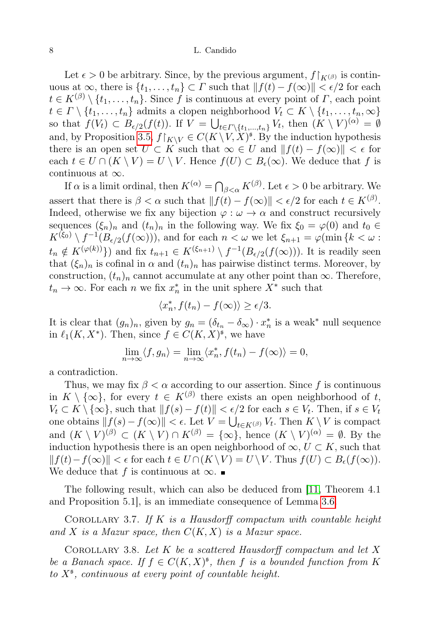Let  $\epsilon > 0$  be arbitrary. Since, by the previous argument,  $f|_{K^{(\beta)}}$  is continuous at  $\infty$ , there is  $\{t_1, \ldots, t_n\} \subset \Gamma$  such that  $||f(t) - f(\infty)|| < \epsilon/2$  for each  $t \in K^{(\beta)} \setminus \{t_1, \ldots, t_n\}$ . Since f is continuous at every point of  $\Gamma$ , each point  $t \in \Gamma \setminus \{t_1, \ldots, t_n\}$  admits a clopen neighborhood  $V_t \subset K \setminus \{t_1, \ldots, t_n, \infty\}$ so that  $f(V_t) \subset B_{\epsilon/2}(f(t))$ . If  $V = \bigcup_{t \in \Gamma \setminus \{t_1,\dots,t_n\}} V_t$ , then  $(K \setminus V)^{(\alpha)} = \emptyset$ and, by Proposition [3.5,](#page-6-0)  $f\upharpoonright_{K\setminus V} \in C(K\setminus V, X)^{\mathfrak{s}}$ . By the induction hypothesis there is an open set  $U \subset K$  such that  $\infty \in U$  and  $||f(t) - f(\infty)|| < \epsilon$  for each  $t \in U \cap (K \setminus V) = U \setminus V$ . Hence  $f(U) \subset B_{\epsilon}(\infty)$ . We deduce that f is continuous at  $\infty$ .

If  $\alpha$  is a limit ordinal, then  $K^{(\alpha)} = \bigcap_{\beta < \alpha} K^{(\beta)}$ . Let  $\epsilon > 0$  be arbitrary. We assert that there is  $\beta < \alpha$  such that  $|| f(t) - f(\infty) || < \epsilon/2$  for each  $t \in K^{(\beta)}$ . Indeed, otherwise we fix any bijection  $\varphi : \omega \to \alpha$  and construct recursively sequences  $(\xi_n)_n$  and  $(t_n)_n$  in the following way. We fix  $\xi_0 = \varphi(0)$  and  $t_0 \in$  $K^{(\xi_0)} \setminus f^{-1}(B_{\epsilon/2}(f(\infty)))$ , and for each  $n < \omega$  we let  $\xi_{n+1} = \varphi(\min\{k < \omega :$  $t_n \notin K^{(\varphi(k))}\}\)$  and fix  $t_{n+1} \in K^{(\xi_{n+1})} \setminus f^{-1}(B_{\epsilon/2}(f(\infty)))$ . It is readily seen that  $(\xi_n)_n$  is cofinal in  $\alpha$  and  $(t_n)_n$  has pairwise distinct terms. Moreover, by construction,  $(t_n)_n$  cannot accumulate at any other point than  $\infty$ . Therefore,  $t_n \to \infty$ . For each n we fix  $x_n^*$  in the unit sphere  $X^*$  such that

$$
\langle x_n^*, f(t_n) - f(\infty) \rangle \ge \epsilon/3.
$$

It is clear that  $(g_n)_n$ , given by  $g_n = (\delta_{t_n} - \delta_{\infty}) \cdot x_n^*$  is a weak<sup>\*</sup> null sequence in  $\ell_1(K, X^*)$ . Then, since  $f \in C(K, X)^{\mathfrak{s}}$ , we have

$$
\lim_{n \to \infty} \langle f, g_n \rangle = \lim_{n \to \infty} \langle x_n^*, f(t_n) - f(\infty) \rangle = 0,
$$

a contradiction.

Thus, we may fix  $\beta < \alpha$  according to our assertion. Since f is continuous in  $K \setminus \{\infty\}$ , for every  $t \in K^{(\beta)}$  there exists an open neighborhood of t,  $V_t \subset K \setminus \{\infty\}$ , such that  $||f(s) - f(t)|| < \epsilon/2$  for each  $s \in V_t$ . Then, if  $s \in V_t$ one obtains  $|| f(s) - f(\infty) || < \epsilon$ . Let  $V = \bigcup_{t \in K^{(\beta)}} V_t$ . Then  $K \setminus V$  is compact and  $(K \setminus V)^{(\beta)} \subset (K \setminus V) \cap K^{(\beta)} = \{\infty\}$ , hence  $(K \setminus V)^{(\alpha)} = \emptyset$ . By the induction hypothesis there is an open neighborhood of  $\infty$ ,  $U \subset K$ , such that  $||f(t)-f(\infty)|| < \epsilon$  for each  $t \in U \cap (K \setminus V) = U \setminus V$ . Thus  $f(U) \subset B_{\epsilon}(f(\infty)).$ We deduce that f is continuous at  $\infty$ .

The following result, which can also be deduced from [\[11,](#page-14-6) Theorem 4.1 and Proposition 5.1], is an immediate consequence of Lemma [3.6.](#page-6-1)

COROLLARY 3.7. If  $K$  is a Hausdorff compactum with countable height and X is a Mazur space, then  $C(K, X)$  is a Mazur space.

<span id="page-7-0"></span>COROLLARY 3.8. Let  $K$  be a scattered Hausdorff compactum and let  $X$ be a Banach space. If  $f \in C(K,X)^{\mathfrak{s}}$ , then f is a bounded function from K to  $X^{\mathfrak s}$ , continuous at every point of countable height.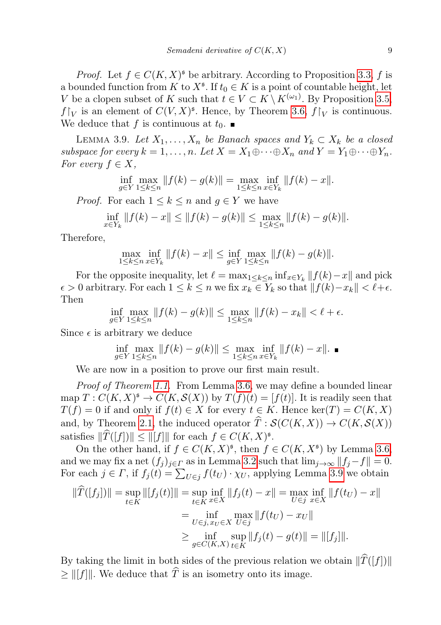*Proof.* Let  $f \in C(K, X)^s$  be arbitrary. According to Proposition [3.3,](#page-5-0) f is a bounded function from K to  $X^{\mathfrak{s}}$ . If  $t_0 \in K$  is a point of countable height, let V be a clopen subset of K such that  $t \in V \subset K \setminus K^{(\omega_1)}$ . By Proposition [3.5,](#page-6-0)  $f\upharpoonright_V$  is an element of  $C(V, X)^{\mathfrak{s}}$ . Hence, by Theorem [3.6,](#page-6-1)  $f\upharpoonright_V$  is continuous. We deduce that f is continuous at  $t_0$ .

<span id="page-8-0"></span>LEMMA 3.9. Let  $X_1, \ldots, X_n$  be Banach spaces and  $Y_k \subset X_k$  be a closed subspace for every  $k = 1, ..., n$ . Let  $X = X_1 \oplus \cdots \oplus X_n$  and  $Y = Y_1 \oplus \cdots \oplus Y_n$ . For every  $f \in X$ ,

$$
\inf_{g \in Y} \max_{1 \le k \le n} \|f(k) - g(k)\| = \max_{1 \le k \le n} \inf_{x \in Y_k} \|f(k) - x\|.
$$

*Proof.* For each  $1 \leq k \leq n$  and  $g \in Y$  we have

$$
\inf_{x \in Y_k} ||f(k) - x|| \le ||f(k) - g(k)|| \le \max_{1 \le k \le n} ||f(k) - g(k)||.
$$

Therefore,

$$
\max_{1 \le k \le n} \inf_{x \in Y_k} \|f(k) - x\| \le \inf_{g \in Y} \max_{1 \le k \le n} \|f(k) - g(k)\|.
$$

For the opposite inequality, let  $\ell = \max_{1 \leq k \leq n} \inf_{x \in Y_k} ||f(k) - x||$  and pick  $\epsilon > 0$  arbitrary. For each  $1 \leq k \leq n$  we fix  $x_k \in Y_k$  so that  $||f(k)-x_k|| < \ell+\epsilon$ . Then

$$
\inf_{g \in Y} \max_{1 \le k \le n} \|f(k) - g(k)\| \le \max_{1 \le k \le n} \|f(k) - x_k\| < \ell + \epsilon.
$$

Since  $\epsilon$  is arbitrary we deduce

$$
\inf_{g \in Y} \max_{1 \le k \le n} \|f(k) - g(k)\| \le \max_{1 \le k \le n} \inf_{x \in Y_k} \|f(k) - x\|.
$$

We are now in a position to prove our first main result.

Proof of Theorem [1.1.](#page-1-0) From Lemma [3.6,](#page-6-1) we may define a bounded linear map  $T: C(K, X)^{\mathfrak{s}} \to C(K, \mathcal{S}(X))$  by  $T(f)(t) = [f(t)]$ . It is readily seen that  $T(f) = 0$  if and only if  $f(t) \in X$  for every  $t \in K$ . Hence ker $(T) = C(K, X)$ and, by Theorem [2.1,](#page-2-1) the induced operator  $\hat{T}: \mathcal{S}(C(K, X)) \to C(K, \mathcal{S}(X))$ satisfies  $\|\widehat{T}([f])\| \le \| [f] \|$  for each  $f \in C(K, X)^{\mathfrak{s}}$ .

On the other hand, if  $f \in C(K, X)^{\mathfrak{s}}$ , then  $f \in C(K, X^{\mathfrak{s}})$  by Lemma [3.6,](#page-6-1) and we may fix a net  $(f_j)_{j\in\Gamma}$  as in Lemma [3.2](#page-4-0) such that  $\lim_{j\to\infty}||f_j-f||=0$ . For each  $j \in \Gamma$ , if  $f_j(t) = \sum_{U \in j} f(t_U) \cdot \chi_U$ , applying Lemma [3.9](#page-8-0) we obtain

$$
\|\hat{T}([f_j])\| = \sup_{t \in K} \|[f_j(t)]\| = \sup_{t \in K} \inf_{x \in X} \|f_j(t) - x\| = \max_{U \in j} \inf_{x \in X} \|f(t_U) - x\|
$$
  
= 
$$
\inf_{U \in j, x_U \in X} \max_{U \in j} \|f(t_U) - x_U\|
$$
  

$$
\geq \inf_{g \in C(K,X)} \sup_{t \in K} \|f_j(t) - g(t)\| = \|[f_j]\|.
$$

By taking the limit in both sides of the previous relation we obtain  $\|\widehat{T}([f])\|$  $\geq ||[f]||$ . We deduce that  $\widehat{T}$  is an isometry onto its image.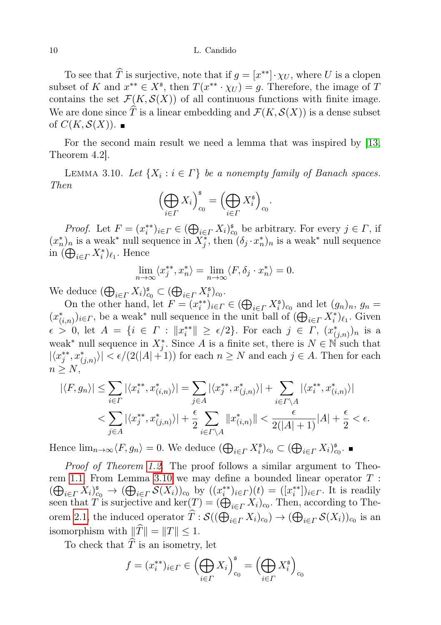To see that  $\widehat{T}$  is surjective, note that if  $g = [x^{**}] \cdot \chi_U$ , where U is a clopen subset of K and  $x^{**} \in X^{\mathfrak{s}}$ , then  $T(x^{**} \cdot \chi_U) = g$ . Therefore, the image of T contains the set  $\mathcal{F}(K,\mathcal{S}(X))$  of all continuous functions with finite image. We are done since  $\widehat{T}$  is a linear embedding and  $\mathcal{F}(K, \mathcal{S}(X))$  is a dense subset of  $C(K, \mathcal{S}(X))$ .

For the second main result we need a lemma that was inspired by [\[13,](#page-14-11) Theorem 4.2].

<span id="page-9-0"></span>LEMMA 3.10. Let  $\{X_i : i \in \Gamma\}$  be a nonempty family of Banach spaces. Then

$$
\left(\bigoplus_{i\in\varGamma}X_i\right)_{c_0}^{\mathfrak s}=\left(\bigoplus_{i\in\varGamma}X_i^{\mathfrak s}\right)_{c_0}.
$$

*Proof.* Let  $F = (x_i^{**})_{i \in \Gamma} \in (\bigoplus_{i \in \Gamma} X_i)_{c_0}^s$  be arbitrary. For every  $j \in \Gamma$ , if  $(x_n^*)_n$  is a weak<sup>\*</sup> null sequence in  $\overline{X_j^*}$ , then  $(\delta_j \cdot x_n^*)_n$  is a weak<sup>\*</sup> null sequence in  $(\bigoplus_{i \in \Gamma} X_i^*)_{\ell_1}$ . Hence

$$
\lim_{n \to \infty} \langle x_j^{**}, x_n^{*} \rangle = \lim_{n \to \infty} \langle F, \delta_j \cdot x_n^{*} \rangle = 0.
$$

We deduce  $(\bigoplus_{i\in\Gamma}X_i)_{c_0}^{\mathfrak{s}}\subset (\bigoplus_{i\in\Gamma}X_i^{\mathfrak{s}})_{c_0}.$ 

On the other hand, let  $F = (x_i^{**})_{i \in \Gamma} \in (\bigoplus_{i \in \Gamma} X_i^{\mathfrak{s}})_{c_0}$  and let  $(g_n)_n$ ,  $g_n =$  $(x^*_{(i,n)})_{i\in\Gamma}$ , be a weak<sup>\*</sup> null sequence in the unit ball of  $(\bigoplus_{i\in\Gamma}X^*_i)_{\ell_1}$ . Given  $\epsilon > 0$ , let  $A = \{i \in \Gamma : ||x_i^{**}|| \geq \epsilon/2\}$ . For each  $j \in \Gamma, (x_{(j,n)}^*)_n$  is a weak<sup>\*</sup> null sequence in  $X_j^*$ . Since A is a finite set, there is  $N \in \mathbb{N}$  such that  $|\langle x_j^{**}, x_{(j,n)}^{*} \rangle| < \epsilon/(2(|A|+1))$  for each  $n \geq N$  and each  $j \in A$ . Then for each  $n \geq N$ ,

$$
|\langle F, g_n \rangle| \leq \sum_{i \in \Gamma} |\langle x_i^{**}, x_{(i,n)}^* \rangle| = \sum_{j \in A} |\langle x_j^{**}, x_{(j,n)}^* \rangle| + \sum_{i \in \Gamma \backslash A} |\langle x_i^{**}, x_{(i,n)}^* \rangle|
$$
  

$$
< \sum_{j \in A} |\langle x_j^{**}, x_{(j,n)}^* \rangle| + \frac{\epsilon}{2} \sum_{i \in \Gamma \backslash A} ||x_{(i,n)}^*|| < \frac{\epsilon}{2(|A|+1)}|A| + \frac{\epsilon}{2} < \epsilon.
$$

Hence  $\lim_{n\to\infty} \langle F, g_n \rangle = 0$ . We deduce  $(\bigoplus_{i \in \Gamma} X_i^{\mathfrak{s}})_{c_0} \subset (\bigoplus_{i \in \Gamma} X_i)_{c_0}^{\mathfrak{s}}$ .

Proof of Theorem [1.2.](#page-1-1) The proof follows a similar argument to Theo-rem [1.1.](#page-1-0) From Lemma [3.10](#page-9-0) we may define a bounded linear operator  $T$  :  $(\bigoplus_{i\in\Gamma}X_i)_{c_0}^{\mathfrak{s}}\to (\bigoplus_{i\in\Gamma}S(X_i))_{c_0}$  by  $((x_i^{**})_{i\in\Gamma})(t) = ([x_i^{**}])_{i\in\Gamma}$ . It is readily seen that T is surjective and  $\ker(T) = (\bigoplus_{i \in \Gamma} X_i)_{c_0}$ . Then, according to The-orem [2.1,](#page-2-1) the induced operator  $T : \mathcal{S}((\bigoplus_{i \in \Gamma} X_i)_{c_0}) \to (\bigoplus_{i \in \Gamma} \mathcal{S}(X_i))_{c_0}$  is an isomorphism with  $\|\widehat{T}\| = \|T\| \leq 1$ .

To check that  $\widehat{T}$  is an isometry, let

$$
f = (x_i^{**})_{i \in \Gamma} \in \left(\bigoplus_{i \in \Gamma} X_i\right)_{c_0}^{\mathfrak{s}} = \left(\bigoplus_{i \in \Gamma} X_i^{\mathfrak{s}}\right)_{c_0}
$$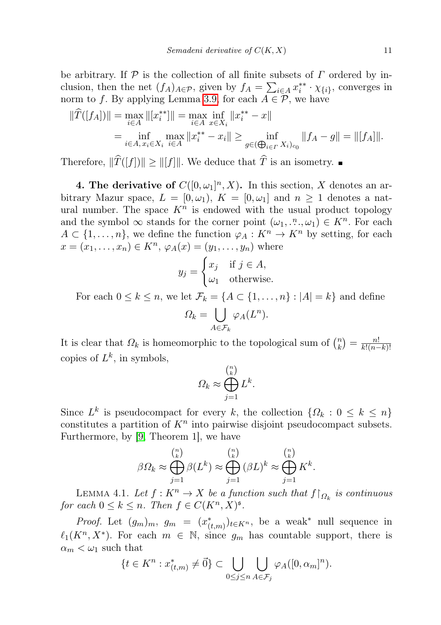be arbitrary. If  $P$  is the collection of all finite subsets of  $\Gamma$  ordered by inclusion, then the net  $(f_A)_{A \in \mathcal{P}}$ , given by  $f_A = \sum_{i \in A} x_i^{**} \cdot \chi_{\{i\}}$ , converges in norm to f. By applying Lemma [3.9,](#page-8-0) for each  $A \in \mathcal{P}$ , we have

$$
\|\widehat{T}([f_A])\| = \max_{i \in A} \| [x_i^{**}]\| = \max_{i \in A} \inf_{x \in X_i} \|x_i^{**} - x\|
$$
  
= 
$$
\inf_{i \in A, x_i \in X_i} \max_{i \in A} \|x_i^{**} - x_i\| \ge \inf_{g \in (\bigoplus_{i \in I} X_i)_{c_0}} \|f_A - g\| = \| [f_A] \|.
$$

Therefore,  $\|\widehat{T}([f])\| \geq \|[f]\|$ . We deduce that  $\widehat{T}$  is an isometry.

<span id="page-10-0"></span>**4. The derivative of**  $C([0,\omega_1]^n, X)$ . In this section, X denotes an arbitrary Mazur space,  $L = [0, \omega_1], K = [0, \omega_1]$  and  $n \geq 1$  denotes a natural number. The space  $K<sup>n</sup>$  is endowed with the usual product topology and the symbol  $\infty$  stands for the corner point  $(\omega_1, \ldots, \omega_n) \in K^n$ . For each  $A \subset \{1, \ldots, n\}$ , we define the function  $\varphi_A : K^n \to K^n$  by setting, for each  $x = (x_1, ..., x_n) \in K^n$ ,  $\varphi_A(x) = (y_1, ..., y_n)$  where

$$
y_j = \begin{cases} x_j & \text{if } j \in A, \\ \omega_1 & \text{otherwise.} \end{cases}
$$

For each  $0 \leq k \leq n$ , we let  $\mathcal{F}_k = \{A \subset \{1, \ldots, n\} : |A| = k\}$  and define

$$
\Omega_k = \bigcup_{A \in \mathcal{F}_k} \varphi_A(L^n).
$$

It is clear that  $\Omega_k$  is homeomorphic to the topological sum of  $\binom{n}{k}$  $\binom{n}{k} = \frac{n!}{k!(n-k)!}$  $k!(n-k)!$ copies of  $L^k$ , in symbols,

$$
\Omega_k \approx \bigoplus_{j=1}^{\binom{n}{k}} L^k.
$$

Since  $L^k$  is pseudocompact for every k, the collection  $\{\Omega_k : 0 \leq k \leq n\}$ constitutes a partition of  $K<sup>n</sup>$  into pairwise disjoint pseudocompact subsets. Furthermore, by [\[9,](#page-14-12) Theorem 1], we have

$$
\beta \Omega_k \approx \bigoplus_{j=1}^{\binom{n}{k}} \beta(L^k) \approx \bigoplus_{j=1}^{\binom{n}{k}} (\beta L)^k \approx \bigoplus_{j=1}^{\binom{n}{k}} K^k.
$$

<span id="page-10-1"></span>LEMMA 4.1. Let  $f: K^n \to X$  be a function such that  $f|_{\Omega_k}$  is continuous for each  $0 \leq k \leq n$ . Then  $f \in C(K^n, X)^{\mathfrak{s}}$ .

*Proof.* Let  $(g_m)_m$ ,  $g_m = (x_{(t,m)}^*)_{t \in K^n}$ , be a weak<sup>\*</sup> null sequence in  $\ell_1(K^n, X^*)$ . For each  $m \in \mathbb{N}$ , since  $g_m$  has countable support, there is  $\alpha_m < \omega_1$  such that

$$
\{t \in K^n : x_{(t,m)}^* \neq \vec{0}\} \subset \bigcup_{0 \leq j \leq n} \bigcup_{A \in \mathcal{F}_j} \varphi_A([0, \alpha_m]^n).
$$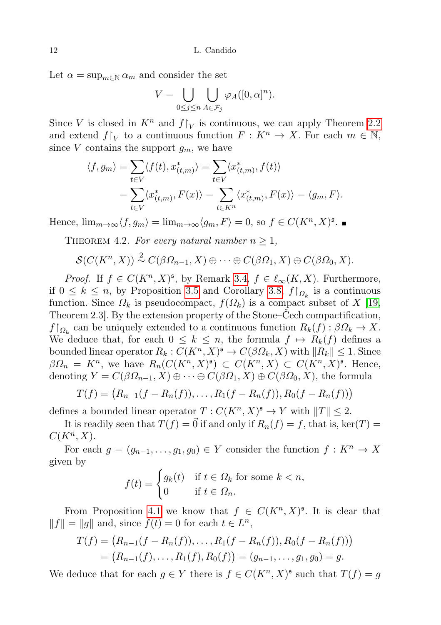Let  $\alpha = \sup_{m \in \mathbb{N}} \alpha_m$  and consider the set

$$
V = \bigcup_{0 \le j \le n} \bigcup_{A \in \mathcal{F}_j} \varphi_A([0, \alpha]^n).
$$

Since V is closed in  $K^n$  and  $f|_V$  is continuous, we can apply Theorem [2.2](#page-3-1) and extend  $f|_V$  to a continuous function  $F: K^n \to X$ . For each  $m \in \mathbb{N}$ , since V contains the support  $q_m$ , we have

$$
\langle f, g_m \rangle = \sum_{t \in V} \langle f(t), x_{(t,m)}^* \rangle = \sum_{t \in V} \langle x_{(t,m)}^*, f(t) \rangle
$$
  
= 
$$
\sum_{t \in V} \langle x_{(t,m)}^*, F(x) \rangle = \sum_{t \in K^n} \langle x_{(t,m)}^*, F(x) \rangle = \langle g_m, F \rangle.
$$

<span id="page-11-0"></span>Hence,  $\lim_{m\to\infty} \langle f, g_m \rangle = \lim_{m\to\infty} \langle g_m, F \rangle = 0$ , so  $f \in C(K^n, X)^{\mathfrak{s}}$ .

THEOREM 4.2. For every natural number  $n \geq 1$ ,

$$
\mathcal{S}(C(K^n,X)) \stackrel{2}{\sim} C(\beta \Omega_{n-1}, X) \oplus \cdots \oplus C(\beta \Omega_1, X) \oplus C(\beta \Omega_0, X).
$$

*Proof.* If  $f \in C(K^n, X)^{\mathfrak{s}}$ , by Remark [3.4,](#page-6-2)  $f \in \ell_{\infty}(K, X)$ . Furthermore, if  $0 \leq k \leq n$ , by Proposition [3.5](#page-6-0) and Corollary [3.8,](#page-7-0)  $f|_{\Omega_k}$  is a continuous function. Since  $\Omega_k$  is pseudocompact,  $f(\Omega_k)$  is a compact subset of X [\[19,](#page-15-3) Theorem 2.3]. By the extension property of the Stone–Čech compactification,  $f\restriction_{\Omega_k}$  can be uniquely extended to a continuous function  $R_k(f): \beta\Omega_k \to X$ . We deduce that, for each  $0 \leq k \leq n$ , the formula  $f \mapsto R_k(f)$  defines a bounded linear operator  $R_k: C(K^n, X)^{\mathfrak{s}} \to C(\beta \Omega_k, X)$  with  $||R_k|| \leq 1$ . Since  $\beta\Omega_n = K^n$ , we have  $R_n(C(K^n, X)^{\mathfrak{s}}) \subset C(K^n, X) \subset C(K^n, X)^{\mathfrak{s}}$ . Hence, denoting  $Y = C(\beta \Omega_{n-1}, X) \oplus \cdots \oplus C(\beta \Omega_1, X) \oplus C(\beta \Omega_0, X)$ , the formula

$$
T(f) = (R_{n-1}(f - R_n(f)), \ldots, R_1(f - R_n(f)), R_0(f - R_n(f)))
$$

defines a bounded linear operator  $T: C(K^n, X)^{\mathfrak{s}} \to Y$  with  $||T|| \leq 2$ .

It is readily seen that  $T(f) = \vec{0}$  if and only if  $R_n(f) = f$ , that is, ker $(T) =$  $C(K^n, X)$ .

For each  $g = (g_{n-1}, \ldots, g_1, g_0) \in Y$  consider the function  $f: K^n \to X$ given by

$$
f(t) = \begin{cases} g_k(t) & \text{if } t \in \Omega_k \text{ for some } k < n, \\ 0 & \text{if } t \in \Omega_n. \end{cases}
$$

From Proposition [4.1](#page-10-1) we know that  $f \in C(K^n, X)^{\mathfrak{s}}$ . It is clear that  $||f|| = ||g||$  and, since  $f(t) = 0$  for each  $t \in L^n$ ,

$$
T(f) = (R_{n-1}(f - R_n(f)), \dots, R_1(f - R_n(f)), R_0(f - R_n(f)))
$$
  
=  $(R_{n-1}(f), \dots, R_1(f), R_0(f)) = (g_{n-1}, \dots, g_1, g_0) = g.$ 

We deduce that for each  $g \in Y$  there is  $f \in C(K^n, X)^{\mathfrak{s}}$  such that  $T(f) = g$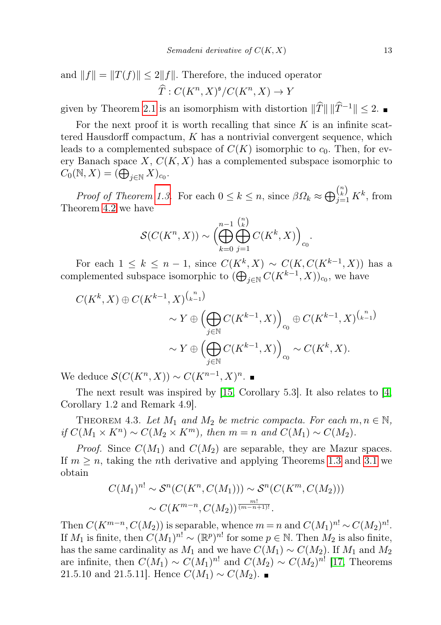and  $||f|| = ||T(f)|| \le 2||f||$ . Therefore, the induced operator  $\widehat{T}: C(K^n, X)^{\mathfrak{s}}/C(K^n, X) \to Y$ 

given by Theorem [2.1](#page-2-1) is an isomorphism with distortion  $\|\widehat{T}\| \|\widehat{T}^{-1}\|$  < 2. ■

For the next proof it is worth recalling that since  $K$  is an infinite scattered Hausdorff compactum,  $K$  has a nontrivial convergent sequence, which leads to a complemented subspace of  $C(K)$  isomorphic to  $c_0$ . Then, for every Banach space  $X, C(K, X)$  has a complemented subspace isomorphic to  $C_0(N, X) = (\bigoplus_{j \in \mathbb{N}} X)_{c_0}.$ 

Proof of Theorem [1.3.](#page-1-2) For each  $0 \le k \le n$ , since  $\beta \Omega_k \approx \bigoplus_{j=1}^{n \choose k} K^k$ , from Theorem [4.2](#page-11-0) we have

$$
\mathcal{S}(C(K^n, X)) \sim \left(\bigoplus_{k=0}^{n-1} \bigoplus_{j=1}^{\binom{n}{k}} C(K^k, X)\right)_{c_0}.
$$

For each  $1 \leq k \leq n-1$ , since  $C(K^k, X) \sim C(K, C(K^{k-1}, X))$  has a complemented subspace isomorphic to  $(\bigoplus_{j\in\mathbb{N}} C(K^{k-1}, X))_{c_0}$ , we have

$$
C(K^k, X) \oplus C(K^{k-1}, X)^{\binom{n}{k-1}}
$$
  

$$
\sim Y \oplus \left(\bigoplus_{j \in \mathbb{N}} C(K^{k-1}, X)\right)_{c_0} \oplus C(K^{k-1}, X)^{\binom{n}{k-1}}
$$
  

$$
\sim Y \oplus \left(\bigoplus_{j \in \mathbb{N}} C(K^{k-1}, X)\right)_{c_0} \sim C(K^k, X).
$$

We deduce  $\mathcal{S}(C(K^n, X)) \sim C(K^{n-1}, X)^n$ .

The next result was inspired by [\[15,](#page-14-13) Corollary 5.3]. It also relates to [\[4,](#page-14-14) Corollary 1.2 and Remark 4.9].

<span id="page-12-0"></span>THEOREM 4.3. Let  $M_1$  and  $M_2$  be metric compacta. For each  $m, n \in \mathbb{N}$ , if  $C(M_1 \times K^n) \sim C(M_2 \times K^m)$ , then  $m = n$  and  $C(M_1) \sim C(M_2)$ .

*Proof.* Since  $C(M_1)$  and  $C(M_2)$  are separable, they are Mazur spaces. If  $m \geq n$ , taking the *n*th derivative and applying Theorems [1.3](#page-1-2) and [3.1](#page-4-1) we obtain

$$
C(M_1)^{n!} \sim S^n(C(K^n, C(M_1))) \sim S^n(C(K^m, C(M_2)))
$$
  
 
$$
\sim C(K^{m-n}, C(M_2))^{\frac{m!}{(m-n+1)!}}.
$$

Then  $C(K^{m-n}, \mathcal{C}(M_2))$  is separable, whence  $m = n$  and  $\mathcal{C}(M_1)^{n!} \sim \mathcal{C}(M_2)^{n!}$ . If  $M_1$  is finite, then  $C(M_1)^{n!} \sim (\mathbb{R}^p)^{n!}$  for some  $p \in \mathbb{N}$ . Then  $M_2$  is also finite, has the same cardinality as  $M_1$  and we have  $C(M_1) \sim C(M_2)$ . If  $M_1$  and  $M_2$ are infinite, then  $C(M_1) \sim C(M_1)^{n!}$  and  $C(M_2) \sim C(M_2)^{n!}$  [\[17,](#page-15-0) Theorems 21.5.10 and 21.5.11]. Hence  $C(M_1) \sim C(M_2)$ . ■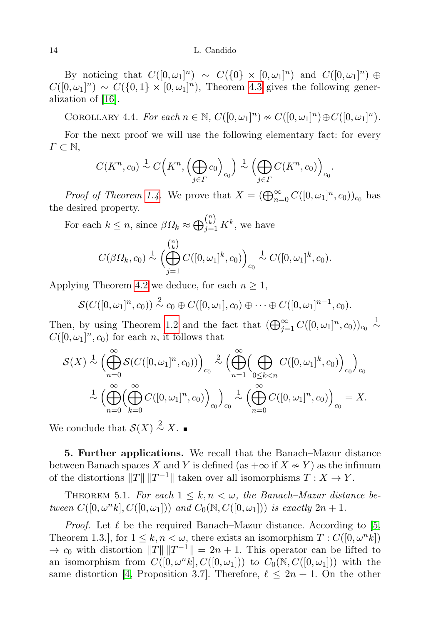By noticing that  $C([0,\omega_1]^n) \sim C(\{0\} \times [0,\omega_1]^n)$  and  $C([0,\omega_1]^n) \oplus$  $C([0,\omega_1]^n) \sim C(\{0,1\} \times [0,\omega_1]^n)$ , Theorem [4.3](#page-12-0) gives the following generalization of [\[16\]](#page-14-0).

<span id="page-13-0"></span>COROLLARY 4.4. For each  $n \in \mathbb{N}$ ,  $C([0,\omega_1]^n) \approx C([0,\omega_1]^n) \oplus C([0,\omega_1]^n)$ .

For the next proof we will use the following elementary fact: for every  $\Gamma \subset \mathbb{N},$ 

$$
C(K^n, c_0) \stackrel{1}{\sim} C\Big(K^n, \Big(\bigoplus_{j\in\Gamma} c_0\Big)_{c_0}\Big) \stackrel{1}{\sim} \Big(\bigoplus_{j\in\Gamma} C(K^n, c_0)\Big)_{c_0}.
$$

*Proof of Theorem [1.4.](#page-1-3)* We prove that  $X = (\bigoplus_{n=0}^{\infty} C([0,\omega_1]^n,c_0))_{c_0}$  has the desired property.

For each  $k \leq n$ , since  $\beta \Omega_k \approx \bigoplus_{j=1}^{n \choose k} K^k$ , we have

$$
C(\beta \Omega_k, c_0) \stackrel{1}{\sim} \left(\bigoplus_{j=1}^{n} C([0, \omega_1]^k, c_0)\right)_{c_0} \stackrel{1}{\sim} C([0, \omega_1]^k, c_0).
$$

Applying Theorem [4.2](#page-11-0) we deduce, for each  $n \geq 1$ ,

$$
\mathcal{S}(C([0,\omega_1]^n,c_0)) \stackrel{2}{\sim} c_0 \oplus C([0,\omega_1],c_0) \oplus \cdots \oplus C([0,\omega_1]^{n-1},c_0).
$$

Then, by using Theorem [1.2](#page-1-1) and the fact that  $(\bigoplus_{j=1}^{\infty} C([0,\omega_1]^n,c_0))_{c_0} \overset{1}{\sim}$  $C([0,\omega_1]^n,c_0)$  for each n, it follows that

$$
\mathcal{S}(X) \stackrel{1}{\sim} \left( \bigoplus_{n=0}^{\infty} \mathcal{S}(C([0,\omega_1]^n, c_0)) \right)_{c_0} \stackrel{2}{\sim} \left( \bigoplus_{n=1}^{\infty} \left( \bigoplus_{0 \le k < n} C([0,\omega_1]^k, c_0) \right)_{c_0} \right)_{c_0}
$$

$$
\stackrel{1}{\sim} \left( \bigoplus_{n=0}^{\infty} \left( \bigoplus_{k=0}^{\infty} C([0,\omega_1]^n, c_0) \right)_{c_0} \right)_{c_0} \stackrel{1}{\sim} \left( \bigoplus_{n=0}^{\infty} C([0,\omega_1]^n, c_0) \right)_{c_0} = X.
$$

We conclude that  $S(X) \stackrel{2}{\sim} X$ .

<span id="page-13-1"></span>5. Further applications. We recall that the Banach–Mazur distance between Banach spaces X and Y is defined (as  $+\infty$  if  $X \sim Y$ ) as the infimum of the distortions  $||T|| ||T^{-1}||$  taken over all isomorphisms  $T : X \to Y$ .

THEOREM 5.1. For each  $1 \leq k, n \leq \omega$ , the Banach–Mazur distance between  $C([0, \omega^n k], C([0, \omega_1]))$  and  $C_0(\mathbb{N}, C([0, \omega_1]))$  is exactly  $2n + 1$ .

*Proof.* Let  $\ell$  be the required Banach–Mazur distance. According to [\[5,](#page-14-15) Theorem 1.3.], for  $1 \leq k, n < \omega$ , there exists an isomorphism  $T : C([0, \omega<sup>n</sup> k])$  $\rightarrow c_0$  with distortion  $||T|| ||T^{-1}|| = 2n + 1$ . This operator can be lifted to an isomorphism from  $C([0, \omega^n k], C([0, \omega_1]))$  to  $C_0(\mathbb{N}, C([0, \omega_1]))$  with the same distortion [\[4,](#page-14-14) Proposition 3.7]. Therefore,  $\ell \leq 2n + 1$ . On the other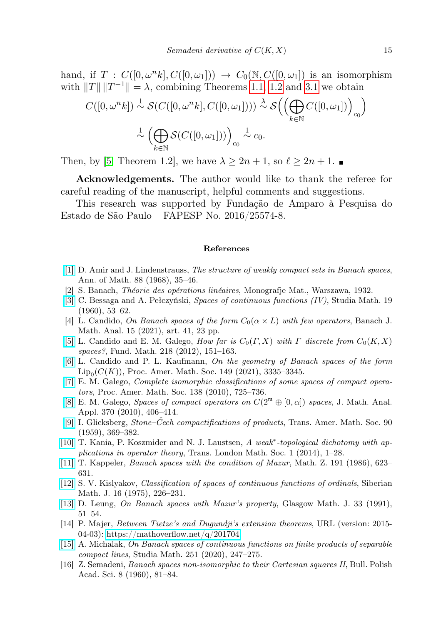hand, if  $T : C([0,\omega^n k], C([0,\omega_1])) \rightarrow C_0(\mathbb{N}, C([0,\omega_1]))$  is an isomorphism with  $||T|| ||T^{-1}|| = \lambda$ , combining Theorems [1.1,](#page-1-0) [1.2](#page-1-1) and [3.1](#page-4-1) we obtain

$$
C([0, \omega^n k]) \stackrel{1}{\sim} \mathcal{S}(C([0, \omega^n k], C([0, \omega_1]))) \stackrel{\lambda}{\sim} \mathcal{S}\Big(\Big(\bigoplus_{k \in \mathbb{N}} C([0, \omega_1])\Big)_{c_0}\Big)
$$

$$
\stackrel{1}{\sim} \Big(\bigoplus_{k \in \mathbb{N}} \mathcal{S}(C([0, \omega_1]))\Big)_{c_0} \stackrel{1}{\sim} c_0.
$$

Then, by [\[5,](#page-14-15) Theorem 1.2], we have  $\lambda \geq 2n + 1$ , so  $\ell \geq 2n + 1$ .

Acknowledgements. The author would like to thank the referee for careful reading of the manuscript, helpful comments and suggestions.

This research was supported by Fundação de Amparo à Pesquisa do Estado de São Paulo – FAPESP No. 2016/25574-8.

#### References

- <span id="page-14-10"></span>[\[1\]](http://dx.doi.org/10.2307/1970554) D. Amir and J. Lindenstrauss, The structure of weakly compact sets in Banach spaces, Ann. of Math. 88 (1968), 35–46.
- <span id="page-14-1"></span>[2] S. Banach, Théorie des opérations linéaires, Monografje Mat., Warszawa, 1932.
- <span id="page-14-3"></span>[\[3\]](http://dx.doi.org/10.4064/sm-19-1-53-62) C. Bessaga and A. Pełczyński, Spaces of continuous functions (IV), Studia Math. 19 (1960), 53–62.
- <span id="page-14-14"></span>[4] L. Candido, On Banach spaces of the form  $C_0(\alpha \times L)$  with few operators, Banach J. Math. Anal. 15 (2021), art. 41, 23 pp.
- <span id="page-14-15"></span>[\[5\]](http://dx.doi.org/10.4064/fm218-2-3) L. Candido and E. M. Galego, How far is  $C_0(\Gamma, X)$  with  $\Gamma$  discrete from  $C_0(K, X)$ spaces?, Fund. Math. 218 (2012), 151–163.
- <span id="page-14-9"></span>[\[6\]](http://dx.doi.org/10.1090/proc/15420) L. Candido and P. L. Kaufmann, On the geometry of Banach spaces of the form  $\text{Lip}_0(C(K))$ , Proc. Amer. Math. Soc. 149 (2021), 3335–3345.
- <span id="page-14-4"></span>[\[7\]](http://dx.doi.org/10.1090/S0002-9939-09-10117-X) E. M. Galego, Complete isomorphic classifications of some spaces of compact operators, Proc. Amer. Math. Soc. 138 (2010), 725–736.
- <span id="page-14-5"></span>[\[8\]](http://dx.doi.org/10.1016/j.jmaa.2010.05.032) E. M. Galego, Spaces of compact operators on  $C(2^{\mathfrak{m}} \oplus [0, \alpha])$  spaces, J. Math. Anal. Appl. 370 (2010), 406–414.
- <span id="page-14-12"></span>[\[9\]](http://dx.doi.org/10.1090/S0002-9947-1959-0105667-4) I. Glicksberg, Stone–Čech compactifications of products, Trans. Amer. Math. Soc. 90 (1959), 369–382.
- <span id="page-14-7"></span>[\[10\]](http://dx.doi.org/10.1112/tlms/tlu001) T. Kania, P. Koszmider and N. J. Laustsen, A weak<sup>\*</sup>-topological dichotomy with applications in operator theory, Trans. London Math. Soc. 1 (2014), 1–28.
- <span id="page-14-6"></span>[\[11\]](http://dx.doi.org/10.1007/BF01162352) T. Kappeler, Banach spaces with the condition of Mazur, Math. Z. 191 (1986), 623– 631.
- <span id="page-14-2"></span>[\[12\]](http://dx.doi.org/10.1007/BF00967506) S. V. Kislyakov, Classification of spaces of continuous functions of ordinals, Siberian Math. J. 16 (1975), 226–231.
- <span id="page-14-11"></span>[\[13\]](http://dx.doi.org/10.1017/S0017089500008028) D. Leung, On Banach spaces with Mazur's property, Glasgow Math. J. 33 (1991), 51–54.
- <span id="page-14-8"></span>[14] P. Majer, Between Tietze's and Dugundji's extension theorems, URL (version: 2015 04-03): [https://mathoverflow.net/q/201704.](https://mathoverflow.net/q/201704)
- <span id="page-14-13"></span>[\[15\]](http://dx.doi.org/10.4064/sm180507-3-1) A. Michalak, On Banach spaces of continuous functions on finite products of separable compact lines, Studia Math. 251 (2020), 247–275.
- <span id="page-14-0"></span>[16] Z. Semadeni, Banach spaces non-isomorphic to their Cartesian squares II, Bull. Polish Acad. Sci. 8 (1960), 81–84.